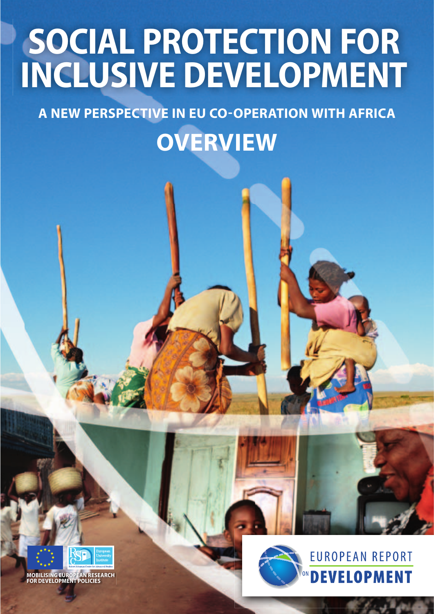## **SOCIAL PROTECTION FOR INCLUSIVE DEVELOPMENT**

**A NEW PERSPECTIVE IN EU CO-OPERATION WITH AFRICA**

**OVERVIEW** 



**MOBILISING EUROPEAN RESEARCH FOR DEVELOPMENT POLICIES**

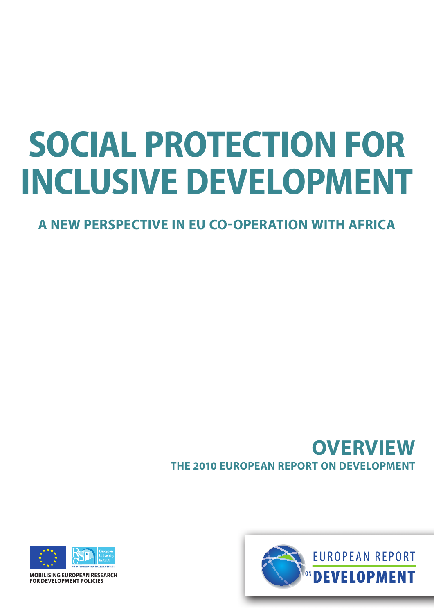# **SOCIAL PROTECTION FOR INCLUSIVE DEVELOPMENT**

**A NEW PERSPECTIVE IN EU CO-OPERATION WITH AFRICA**

## **THE 2010 EUROPEAN REPORT ON DEVELOPMENT OVERVIEW**



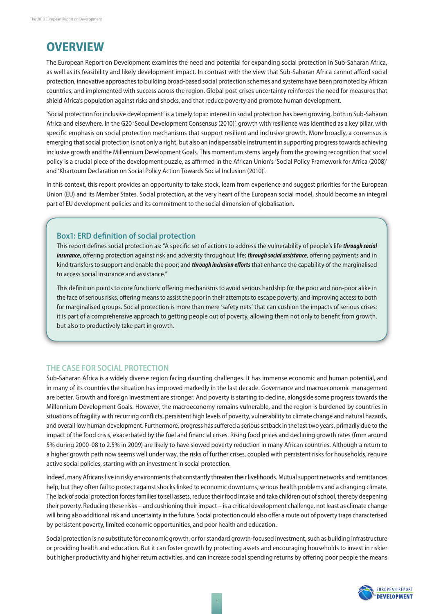### **OVERVIEW**

The European Report on Development examines the need and potential for expanding social protection in Sub-Saharan Africa, as well as its feasibility and likely development impact. In contrast with the view that Sub-Saharan Africa cannot afford social protection, innovative approaches to building broad-based social protection schemes and systems have been promoted by African countries, and implemented with success across the region. Global post-crises uncertainty reinforces the need for measures that shield Africa's population against risks and shocks, and that reduce poverty and promote human development.

'Social protection for inclusive development' is a timely topic: interest in social protection has been growing, both in Sub-Saharan Africa and elsewhere. In the G20 'Seoul Development Consensus (2010)', growth with resilience was identified as a key pillar, with specific emphasis on social protection mechanisms that support resilient and inclusive growth. More broadly, a consensus is emerging that social protection is not only a right, but also an indispensable instrument in supporting progress towards achieving inclusive growth and the Millennium Development Goals. This momentum stems largely from the growing recognition that social policy is a crucial piece of the development puzzle, as affirmed in the African Union's 'Social Policy Framework for Africa (2008)' and 'Khartoum Declaration on Social Policy Action Towards Social Inclusion (2010)'.

In this context, this report provides an opportunity to take stock, learn from experience and suggest priorities for the European Union (EU) and its Member States. Social protection, at the very heart of the European social model, should become an integral part of EU development policies and its commitment to the social dimension of globalisation.

#### **Box1: ERD definition of social protection**

This report defines social protection as: "A specific set of actions to address the vulnerability of people's life *through social insurance*, offering protection against risk and adversity throughout life; *through social assistance*, offering payments and in kind transfers to support and enable the poor; and *through inclusion eff orts* that enhance the capability of the marginalised to access social insurance and assistance."

This definition points to core functions: offering mechanisms to avoid serious hardship for the poor and non-poor alike in the face of serious risks, offering means to assist the poor in their attempts to escape poverty, and improving access to both for marginalised groups. Social protection is more than mere 'safety nets' that can cushion the impacts of serious crises: it is part of a comprehensive approach to getting people out of poverty, allowing them not only to benefit from growth, but also to productively take part in growth.

#### **THE CASE FOR SOCIAL PROTECTION**

Sub-Saharan Africa is a widely diverse region facing daunting challenges. It has immense economic and human potential, and in many of its countries the situation has improved markedly in the last decade. Governance and macroeconomic management are better. Growth and foreign investment are stronger. And poverty is starting to decline, alongside some progress towards the Millennium Development Goals. However, the macroeconomy remains vulnerable, and the region is burdened by countries in situations of fragility with recurring conflicts, persistent high levels of poverty, vulnerability to climate change and natural hazards, and overall low human development. Furthermore, progress has suffered a serious setback in the last two years, primarily due to the impact of the food crisis, exacerbated by the fuel and financial crises. Rising food prices and declining growth rates (from around 5% during 2000-08 to 2.5% in 2009) are likely to have slowed poverty reduction in many African countries. Although a return to a higher growth path now seems well under way, the risks of further crises, coupled with persistent risks for households, require active social policies, starting with an investment in social protection.

Indeed, many Africans live in risky environments that constantly threaten their livelihoods. Mutual support networks and remittances help, but they often fail to protect against shocks linked to economic downturns, serious health problems and a changing climate. The lack of social protection forces families to sell assets, reduce their food intake and take children out of school, thereby deepening their poverty. Reducing these risks – and cushioning their impact – is a critical development challenge, not least as climate change will bring also additional risk and uncertainty in the future. Social protection could also offer a route out of poverty traps characterised by persistent poverty, limited economic opportunities, and poor health and education.

Social protection is no substitute for economic growth, or for standard growth-focused investment, such as building infrastructure or providing health and education. But it can foster growth by protecting assets and encouraging households to invest in riskier but higher productivity and higher return activities, and can increase social spending returns by offering poor people the means

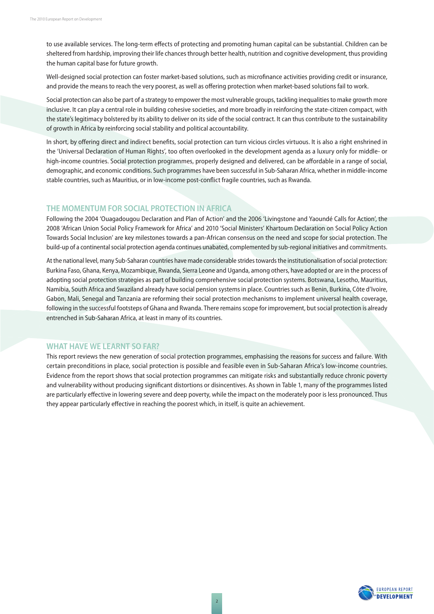to use available services. The long-term effects of protecting and promoting human capital can be substantial. Children can be sheltered from hardship, improving their life chances through better health, nutrition and cognitive development, thus providing the human capital base for future growth.

Well-designed social protection can foster market-based solutions, such as microfinance activities providing credit or insurance, and provide the means to reach the very poorest, as well as offering protection when market-based solutions fail to work.

Social protection can also be part of a strategy to empower the most vulnerable groups, tackling inequalities to make growth more inclusive. It can play a central role in building cohesive societies, and more broadly in reinforcing the state-citizen compact, with the state's legitimacy bolstered by its ability to deliver on its side of the social contract. It can thus contribute to the sustainability of growth in Africa by reinforcing social stability and political accountability.

In short, by offering direct and indirect benefits, social protection can turn vicious circles virtuous. It is also a right enshrined in the 'Universal Declaration of Human Rights', too often overlooked in the development agenda as a luxury only for middle- or high-income countries. Social protection programmes, properly designed and delivered, can be affordable in a range of social, demographic, and economic conditions. Such programmes have been successful in Sub-Saharan Africa, whether in middle-income stable countries, such as Mauritius, or in low-income post-conflict fragile countries, such as Rwanda.

#### **THE MOMENTUM FOR SOCIAL PROTECTION IN AFRICA**

Following the 2004 'Ouagadougou Declaration and Plan of Action' and the 2006 'Livingstone and Yaoundé Calls for Action', the 2008 'African Union Social Policy Framework for Africa' and 2010 'Social Ministers' Khartoum Declaration on Social Policy Action Towards Social Inclusion' are key milestones towards a pan-African consensus on the need and scope for social protection. The build-up of a continental social protection agenda continues unabated, complemented by sub-regional initiatives and commitments.

At the national level, many Sub-Saharan countries have made considerable strides towards the institutionalisation of social protection: Burkina Faso, Ghana, Kenya, Mozambique, Rwanda, Sierra Leone and Uganda, among others, have adopted or are in the process of adopting social protection strategies as part of building comprehensive social protection systems. Botswana, Lesotho, Mauritius, Namibia, South Africa and Swaziland already have social pension systems in place. Countries such as Benin, Burkina, Côte d'Ivoire, Gabon, Mali, Senegal and Tanzania are reforming their social protection mechanisms to implement universal health coverage, following in the successful footsteps of Ghana and Rwanda. There remains scope for improvement, but social protection is already entrenched in Sub-Saharan Africa, at least in many of its countries.

#### **WHAT HAVE WE LEARNT SO FAR?**

This report reviews the new generation of social protection programmes, emphasising the reasons for success and failure. With certain preconditions in place, social protection is possible and feasible even in Sub-Saharan Africa's low-income countries. Evidence from the report shows that social protection programmes can mitigate risks and substantially reduce chronic poverty and vulnerability without producing significant distortions or disincentives. As shown in Table 1, many of the programmes listed are particularly effective in lowering severe and deep poverty, while the impact on the moderately poor is less pronounced. Thus they appear particularly effective in reaching the poorest which, in itself, is quite an achievement.

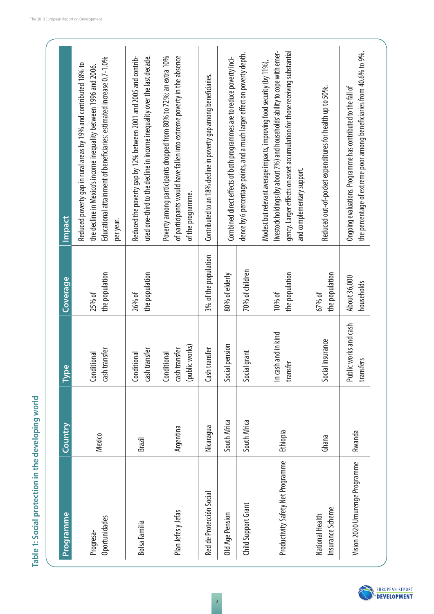| <b>Programme</b>                    | Country      | ပ္ထ<br>ξ                                       | <u>Coverage</u>            | Impact                                                                                                                                                                                                                                                             |
|-------------------------------------|--------------|------------------------------------------------|----------------------------|--------------------------------------------------------------------------------------------------------------------------------------------------------------------------------------------------------------------------------------------------------------------|
| Oportunidades<br>Progresa-          | Mexico       | cash transfer<br>Conditional                   | the population<br>25% of   | Educational attainment of beneficiaries: estimated increase 0.7-1.0%<br>Reduced poverty gap in rural areas by 19% and contributed 18% to<br>the decline in Mexico's income inequality between 1996 and 2006.<br>per year.                                          |
| Bolsa Familia                       | Brazil       | cash transfer<br>Conditional                   | the population<br>26% of   | Reduced the poverty gap by 12% between 2001 and 2005 and contrib-<br>uted one-third to the decline in income inequality over the last decade.                                                                                                                      |
| Plan Jefes y Jefas                  | Argentina    | (public works)<br>cash transfer<br>Conditional |                            | Poverty among participants dropped from 80% to 72%; an extra 10%<br>of participants would have fallen into extreme poverty in the absence<br>of the programme.                                                                                                     |
| Red de Protección Social            | Nicaragua    | Cash transfer                                  | 3% of the population       | Contributed to an 18% decline in poverty gap among beneficiaries.                                                                                                                                                                                                  |
| Old Age Pension                     | South Africa | Social pension                                 | 80% of elderly             | Combined direct effects of both programmes are to reduce poverty inci-                                                                                                                                                                                             |
| Child Support Grant                 | South Africa | Social grant                                   | 70% of children            | dence by 6 percentage points, and a much larger effect on poverty depth.                                                                                                                                                                                           |
| Productivity Safety Net Programme   | Ethiopia     | In cash and in kind<br>transfer                | the population<br>10% of   | livestock holdings (by about 7%) and households' ability to cope with emer-<br>gency. Larger effects on asset accumulation for those receiving substantial<br>Modest but relevant average impacts, improving food security (by 11%),<br>and complementary support. |
| Insurance Scheme<br>National Health | Ghana        | Social insurance                               | the population<br>67% of   | Reduced out-of-pocket expenditures for health up to 50%.                                                                                                                                                                                                           |
| Vision 2020 Umurenge Programme      | Rwanda       | Public works and cash<br>transfers             | About 36,000<br>households | the percentage of extreme poor among beneficiaries from 40.6% to 9%.<br>Ongoing evaluations. Programme has contributed to the fall of                                                                                                                              |

Table 1: Social protection in the developing world **Table 1: Social protection in the developing world**

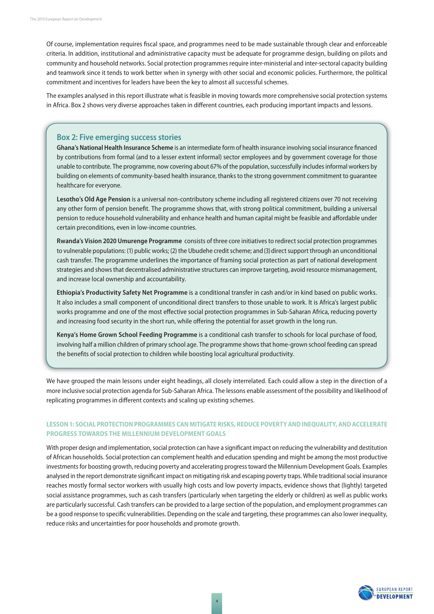Of course, implementation requires fiscal space, and programmes need to be made sustainable through clear and enforceable criteria. In addition, institutional and administrative capacity must be adequate for programme design, building on pilots and community and household networks. Social protection programmes require inter-ministerial and inter-sectoral capacity building and teamwork since it tends to work better when in synergy with other social and economic policies. Furthermore, the political commitment and incentives for leaders have been the key to almost all successful schemes.

The examples analysed in this report illustrate what is feasible in moving towards more comprehensive social protection systems in Africa. Box 2 shows very diverse approaches taken in different countries, each producing important impacts and lessons.

#### **Box 2: Five emerging success stories**

Ghana's National Health Insurance Scheme is an intermediate form of health insurance involving social insurance financed by contributions from formal (and to a lesser extent informal) sector employees and by government coverage for those unable to contribute. The programme, now covering about 67% of the population, successfully includes informal workers by building on elements of community-based health insurance, thanks to the strong government commitment to guarantee healthcare for everyone.

**Lesotho's Old Age Pension** is a universal non-contributory scheme including all registered citizens over 70 not receiving any other form of pension benefit. The programme shows that, with strong political commitment, building a universal pension to reduce household vulnerability and enhance health and human capital might be feasible and affordable under certain preconditions, even in low-income countries.

**Rwanda's Vision 2020 Umurenge Programme** consists of three core initiatives to redirect social protection programmes to vulnerable populations: (1) public works; (2) the Ubudehe credit scheme; and(3)direct support through an unconditional cash transfer. The programme underlines the importance of framing social protection as part of national development strategies and shows that decentralised administrative structures can improve targeting, avoid resource mismanagement, and increase local ownership and accountability.

**Ethiopia's Productivity Safety Net Programme** is a conditional transfer in cash and/or in kind based on public works. It also includes a small component of unconditional direct transfers to those unable to work. It is Africa's largest public works programme and one of the most effective social protection programmes in Sub-Saharan Africa, reducing poverty and increasing food security in the short run, while offering the potential for asset growth in the long run.

**Kenya's Home Grown School Feeding Programme** is a conditional cash transfer to schools for local purchase of food, involving half a million children of primary school age. The programme shows that home-grown school feeding can spread the benefits of social protection to children while boosting local agricultural productivity.

We have grouped the main lessons under eight headings, all closely interrelated. Each could allow a step in the direction of a more inclusive social protection agenda for Sub-Saharan Africa. The lessons enable assessment of the possibility and likelihood of replicating programmes in different contexts and scaling up existing schemes.

#### **LESSON 1: SOCIAL PROTECTION PROGRAMMES CAN MITIGATE RISKS, REDUCE POVERTY AND INEQUALITY, AND ACCELERATE PROGRESS TOWARDS THE MILLENNIUM DEVELOPMENT GOALS**

With proper design and implementation, social protection can have a significant impact on reducing the vulnerability and destitution of African households. Social protection can complement health and education spending and might be among the most productive investments for boosting growth, reducing poverty and accelerating progress toward the Millennium Development Goals. Examples analysed in the report demonstrate significant impact on mitigating risk and escaping poverty traps. While traditional social insurance reaches mostly formal sector workers with usually high costs and low poverty impacts, evidence shows that (lightly) targeted social assistance programmes, such as cash transfers (particularly when targeting the elderly or children) as well as public works are particularly successful. Cash transfers can be provided to a large section of the population, and employment programmes can be a good response to specific vulnerabilities. Depending on the scale and targeting, these programmes can also lower inequality, reduce risks and uncertainties for poor households and promote growth.

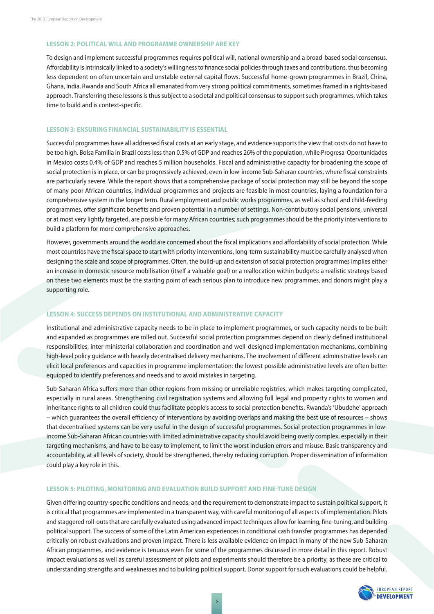#### **LESSON 2: POLITICAL WILL AND PROGRAMME OWNERSHIP ARE KEY**

To design and implement successful programmes requires political will, national ownership and a broad-based social consensus. Affordability is intrinsically linked to a society's willingness to finance social policies through taxes and contributions, thus becoming less dependent on often uncertain and unstable external capital flows. Successful home-grown programmes in Brazil, China, Ghana, India, Rwanda and South Africa all emanated from very strong political commitments, sometimes framed in a rights-based approach. Transferring these lessons is thus subject to a societal and political consensus to support such programmes, which takes time to build and is context-specific.

#### **LESSON 3: ENSURING FINANCIAL SUSTAINABILITY IS ESSENTIAL**

Successful programmes have all addressed fiscal costs at an early stage, and evidence supports the view that costs do not have to be too high. Bolsa Familia in Brazil costs less than 0.5% of GDP and reaches 26% of the population, while Progresa-Oportunidades in Mexico costs 0.4% of GDP and reaches 5 million households. Fiscal and administrative capacity for broadening the scope of social protection is in place, or can be progressively achieved, even in low-income Sub-Saharan countries, where fiscal constraints are particularly severe. While the report shows that a comprehensive package of social protection may still be beyond the scope of many poor African countries, individual programmes and projects are feasible in most countries, laying a foundation for a comprehensive system in the longer term. Rural employment and public works programmes, as well as school and child-feeding programmes, offer significant benefits and proven potential in a number of settings. Non-contributory social pensions, universal or at most very lightly targeted, are possible for many African countries; such programmes should be the priority interventions to build a platform for more comprehensive approaches.

However, governments around the world are concerned about the fiscal implications and affordability of social protection. While most countries have the fiscal space to start with priority interventions, long-term sustainability must be carefully analysed when designing the scale and scope of programmes. Often, the build-up and extension of social protection programmes implies either an increase in domestic resource mobilisation (itself a valuable goal) or a reallocation within budgets: a realistic strategy based on these two elements must be the starting point of each serious plan to introduce new programmes, and donors might play a supporting role.

#### **LESSON 4: SUCCESS DEPENDS ON INSTITUTIONAL AND ADMINISTRATIVE CAPACITY**

Institutional and administrative capacity needs to be in place to implement programmes, or such capacity needs to be built and expanded as programmes are rolled out. Successful social protection programmes depend on clearly defined institutional responsibilities, inter-ministerial collaboration and coordination and well-designed implementation mechanisms, combining high-level policy guidance with heavily decentralised delivery mechanisms. The involvement of different administrative levels can elicit local preferences and capacities in programme implementation: the lowest possible administrative levels are often better equipped to identify preferences and needs and to avoid mistakes in targeting.

Sub-Saharan Africa suffers more than other regions from missing or unreliable registries, which makes targeting complicated, especially in rural areas. Strengthening civil registration systems and allowing full legal and property rights to women and inheritance rights to all children could thus facilitate people's access to social protection benefits. Rwanda's 'Ubudehe' approach – which guarantees the overall efficiency of interventions by avoiding overlaps and making the best use of resources – shows that decentralised systems can be very useful in the design of successful programmes. Social protection programmes in lowincome Sub-Saharan African countries with limited administrative capacity should avoid being overly complex, especially in their targeting mechanisms, and have to be easy to implement, to limit the worst inclusion errors and misuse. Basic transparency and accountability, at all levels of society, should be strengthened, thereby reducing corruption. Proper dissemination of information could play a key role in this.

#### **LESSON 5: PILOTING, MONITORING AND EVALUATION BUILD SUPPORT AND FINETUNE DESIGN**

Given differing country-specific conditions and needs, and the requirement to demonstrate impact to sustain political support, it is critical that programmes are implemented in a transparent way, with careful monitoring of all aspects of implementation. Pilots and staggered roll-outs that are carefully evaluated using advanced impact techniques allow for learning, fine-tuning, and building political support. The success of some of the Latin American experiences in conditional cash transfer programmes has depended critically on robust evaluations and proven impact. There is less available evidence on impact in many of the new Sub-Saharan African programmes, and evidence is tenuous even for some of the programmes discussed in more detail in this report. Robust impact evaluations as well as careful assessment of pilots and experiments should therefore be a priority, as these are critical to understanding strengths and weaknesses and to building political support. Donor support for such evaluations could be helpful.

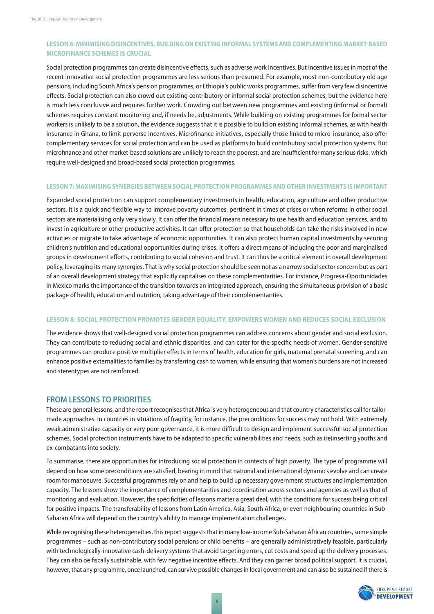#### LESSON 6: MINIMISING DISINCENTIVES, BUILDING ON EXISTING INFORMAL SYSTEMS AND COMPLEMENTING MARKET-BASED **MICROFINANCE SCHEMES IS CRUCIAL**

Social protection programmes can create disincentive effects, such as adverse work incentives. But incentive issues in most of the recent innovative social protection programmes are less serious than presumed. For example, most non-contributory old age pensions, including South Africa's pension programmes, or Ethiopia's public works programmes, suffer from very few disincentive effects. Social protection can also crowd out existing contributory or informal social protection schemes, but the evidence here is much less conclusive and requires further work. Crowding out between new programmes and existing (informal or formal) schemes requires constant monitoring and, if needs be, adjustments. While building on existing programmes for formal sector workers is unlikely to be a solution, the evidence suggests that it is possible to build on existing informal schemes, as with health insurance in Ghana, to limit perverse incentives. Microfinance initiatives, especially those linked to micro-insurance, also offer complementary services for social protection and can be used as platforms to build contributory social protection systems. But microfinance and other market-based solutions are unlikely to reach the poorest, and are insufficient for many serious risks, which require well-designed and broad-based social protection programmes.

#### **LESSON 7: MAXIMISING SYNERGIES BETWEEN SOCIAL PROTECTION PROGRAMMES AND OTHER INVESTMENTS IS IMPORTANT**

Expanded social protection can support complementary investments in health, education, agriculture and other productive sectors. It is a quick and flexible way to improve poverty outcomes, pertinent in times of crises or when reforms in other social sectors are materialising only very slowly. It can offer the financial means necessary to use health and education services, and to invest in agriculture or other productive activities. It can offer protection so that households can take the risks involved in new activities or migrate to take advantage of economic opportunities. It can also protect human capital investments by securing children's nutrition and educational opportunities during crises. It offers a direct means of including the poor and marginalised groups in development efforts, contributing to social cohesion and trust. It can thus be a critical element in overall development policy, leveraging its many synergies. That is why social protection should be seen not as a narrow social sector concern but as part of an overall development strategy that explicitly capitalises on these complementarities. For instance, Progresa-Oportunidades in Mexico marks the importance of the transition towards an integrated approach, ensuring the simultaneous provision of a basic package of health, education and nutrition, taking advantage of their complementarities.

#### **LESSON 8: SOCIAL PROTECTION PROMOTES GENDER EQUALITY, EMPOWERS WOMEN AND REDUCES SOCIAL EXCLUSION**

The evidence shows that well-designed social protection programmes can address concerns about gender and social exclusion. They can contribute to reducing social and ethnic disparities, and can cater for the specific needs of women. Gender-sensitive programmes can produce positive multiplier effects in terms of health, education for girls, maternal prenatal screening, and can enhance positive externalities to families by transferring cash to women, while ensuring that women's burdens are not increased and stereotypes are not reinforced.

#### **FROM LESSONS TO PRIORITIES**

These are general lessons, and the report recognises that Africa is very heterogeneous and that country characteristics call for tailormade approaches. In countries in situations of fragility, for instance, the preconditions for success may not hold. With extremely weak administrative capacity or very poor governance, it is more difficult to design and implement successful social protection schemes. Social protection instruments have to be adapted to specific vulnerabilities and needs, such as (re)inserting youths and ex-combatants into society.

To summarise, there are opportunities for introducing social protection in contexts of high poverty. The type of programme will depend on how some preconditions are satisfied, bearing in mind that national and international dynamics evolve and can create room for manoeuvre. Successful programmes rely on and help to build up necessary government structures and implementation capacity. The lessons show the importance of complementarities and coordination across sectors and agencies as well as that of monitoring and evaluation. However, the specificities of lessons matter a great deal, with the conditions for success being critical for positive impacts. The transferability of lessons from Latin America, Asia, South Africa, or even neighbouring countries in Sub-Saharan Africa will depend on the country's ability to manage implementation challenges.

While recognising these heterogeneities, this report suggests that in many low-income Sub-Saharan African countries, some simple programmes - such as non-contributory social pensions or child benefits - are generally administratively feasible, particularly with technologically-innovative cash-delivery systems that avoid targeting errors, cut costs and speed up the delivery processes. They can also be fiscally sustainable, with few negative incentive effects. And they can garner broad political support. It is crucial, however, that any programme, once launched, can survive possible changes in local government and can also be sustained if there is

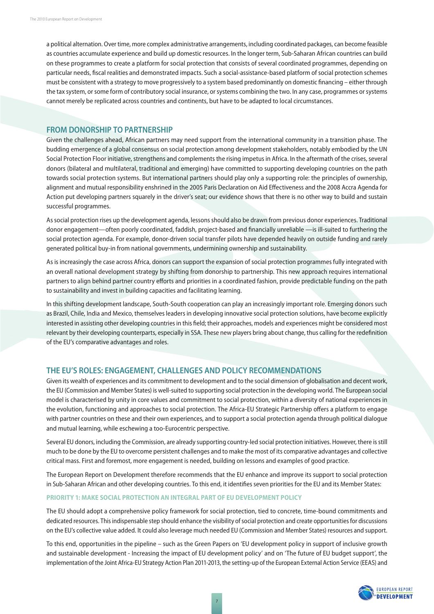a political alternation. Over time, more complex administrative arrangements, including coordinated packages, can become feasible as countries accumulate experience and build up domestic resources. In the longer term, Sub-Saharan African countries can build on these programmes to create a platform for social protection that consists of several coordinated programmes, depending on particular needs, fiscal realities and demonstrated impacts. Such a social-assistance-based platform of social protection schemes must be consistent with a strategy to move progressively to a system based predominantly on domestic financing - either through the tax system, or some form of contributory social insurance, or systems combining the two. In any case, programmes or systems cannot merely be replicated across countries and continents, but have to be adapted to local circumstances.

#### **FROM DONORSHIP TO PARTNERSHIP**

Given the challenges ahead, African partners may need support from the international community in a transition phase. The budding emergence of a global consensus on social protection among development stakeholders, notably embodied by the UN Social Protection Floor initiative, strengthens and complements the rising impetus in Africa. In the aftermath of the crises, several donors (bilateral and multilateral, traditional and emerging) have committed to supporting developing countries on the path towards social protection systems. But international partners should play only a supporting role: the principles of ownership, alignment and mutual responsibility enshrined in the 2005 Paris Declaration on Aid Effectiveness and the 2008 Accra Agenda for Action put developing partners squarely in the driver's seat; our evidence shows that there is no other way to build and sustain successful programmes.

As social protection rises up the development agenda, lessons should also be drawn from previous donor experiences. Traditional donor engagement—often poorly coordinated, faddish, project-based and financially unreliable —is ill-suited to furthering the social protection agenda. For example, donor-driven social transfer pilots have depended heavily on outside funding and rarely generated political buy-in from national governments, undermining ownership and sustainability.

As is increasingly the case across Africa, donors can support the expansion of social protection programmes fully integrated with an overall national development strategy by shifting from donorship to partnership. This new approach requires international partners to align behind partner country efforts and priorities in a coordinated fashion, provide predictable funding on the path to sustainability and invest in building capacities and facilitating learning.

In this shifting development landscape, South-South cooperation can play an increasingly important role. Emerging donors such as Brazil, Chile, India and Mexico, themselves leaders in developing innovative social protection solutions, have become explicitly interested in assisting other developing countries in this field; their approaches, models and experiences might be considered most relevant by their developing counterparts, especially in SSA. These new players bring about change, thus calling for the redefinition of the EU's comparative advantages and roles.

#### **THE EU'S ROLES: ENGAGEMENT, CHALLENGES AND POLICY RECOMMENDATIONS**

Given its wealth of experiences and its commitment to development and to the social dimension of globalisation and decent work, the EU (Commission and Member States) is well-suited to supporting social protection in the developing world. The European social model is characterised by unity in core values and commitment to social protection, within a diversity of national experiences in the evolution, functioning and approaches to social protection. The Africa-EU Strategic Partnership offers a platform to engage with partner countries on these and their own experiences, and to support a social protection agenda through political dialogue and mutual learning, while eschewing a too-Eurocentric perspective.

Several EU donors, including the Commission, are already supporting country-led social protection initiatives. However, there is still much to be done by the EU to overcome persistent challenges and to make the most of its comparative advantages and collective critical mass. First and foremost, more engagement is needed, building on lessons and examples of good practice.

The European Report on Development therefore recommends that the EU enhance and improve its support to social protection in Sub-Saharan African and other developing countries. To this end, it identifies seven priorities for the EU and its Member States:

#### **PRIORITY 1: MAKE SOCIAL PROTECTION AN INTEGRAL PART OF EU DEVELOPMENT POLICY**

The EU should adopt a comprehensive policy framework for social protection, tied to concrete, time-bound commitments and dedicated resources. This indispensable step should enhance the visibility of social protection and create opportunities for discussions on the EU's collective value added. It could also leverage much needed EU (Commission and Member States) resources and support.

To this end, opportunities in the pipeline – such as the Green Papers on 'EU development policy in support of inclusive growth and sustainable development - Increasing the impact of EU development policy' and on 'The future of EU budget support', the implementation of the Joint Africa-EU Strategy Action Plan 2011-2013, the setting-up of the European External Action Service (EEAS) and

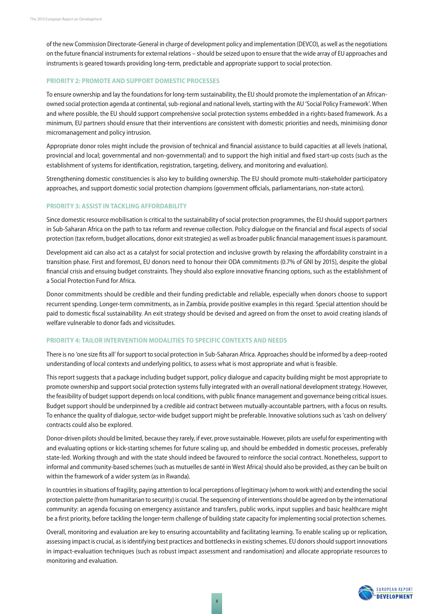of the new Commission Directorate-General in charge of development policy and implementation (DEVCO), as well as the negotiations on the future financial instruments for external relations – should be seized upon to ensure that the wide array of EU approaches and instruments is geared towards providing long-term, predictable and appropriate support to social protection.

#### **PRIORITY 2: PROMOTE AND SUPPORT DOMESTIC PROCESSES**

To ensure ownership and lay the foundations for long-term sustainability, the EU should promote the implementation of an Africanowned social protection agenda at continental, sub-regional and national levels, starting with the AU 'Social Policy Framework'. When and where possible, the EU should support comprehensive social protection systems embedded in a rights-based framework. As a minimum, EU partners should ensure that their interventions are consistent with domestic priorities and needs, minimising donor micromanagement and policy intrusion.

Appropriate donor roles might include the provision of technical and financial assistance to build capacities at all levels (national, provincial and local; governmental and non-governmental) and to support the high initial and fixed start-up costs (such as the establishment of systems for identification, registration, targeting, delivery, and monitoring and evaluation).

Strengthening domestic constituencies is also key to building ownership. The EU should promote multi-stakeholder participatory approaches, and support domestic social protection champions (government officials, parliamentarians, non-state actors).

#### **PRIORITY 3: ASSIST IN TACKLING AFFORDABILITY**

Since domestic resource mobilisation is critical to the sustainability of social protection programmes, the EU should support partners in Sub-Saharan Africa on the path to tax reform and revenue collection. Policy dialogue on the financial and fiscal aspects of social protection (tax reform, budget allocations, donor exit strategies) as well as broader public financial management issues is paramount.

Development aid can also act as a catalyst for social protection and inclusive growth by relaxing the affordability constraint in a transition phase. First and foremost, EU donors need to honour their ODA commitments (0.7% of GNI by 2015), despite the global financial crisis and ensuing budget constraints. They should also explore innovative financing options, such as the establishment of a Social Protection Fund for Africa.

Donor commitments should be credible and their funding predictable and reliable, especially when donors choose to support recurrent spending. Longer-term commitments, as in Zambia, provide positive examples in this regard. Special attention should be paid to domestic fiscal sustainability. An exit strategy should be devised and agreed on from the onset to avoid creating islands of welfare vulnerable to donor fads and vicissitudes.

#### **PRIORITY 4: TAILOR INTERVENTION MODALITIES TO SPECIFIC CONTEXTS AND NEEDS**

There is no 'one size fits all' for support to social protection in Sub-Saharan Africa. Approaches should be informed by a deep-rooted understanding of local contexts and underlying politics, to assess what is most appropriate and what is feasible.

This report suggests that a package including budget support, policy dialogue and capacity building might be most appropriate to promote ownership and support social protection systems fully integrated with an overall national development strategy. However, the feasibility of budget support depends on local conditions, with public finance management and governance being critical issues. Budget support should be underpinned by a credible aid contract between mutually-accountable partners, with a focus on results. To enhance the quality of dialogue, sector-wide budget support might be preferable. Innovative solutions such as 'cash on delivery' contracts could also be explored.

Donor-driven pilots should be limited, because they rarely, if ever, prove sustainable. However, pilots are useful for experimenting with and evaluating options or kick-starting schemes for future scaling up, and should be embedded in domestic processes, preferably state-led. Working through and with the state should indeed be favoured to reinforce the social contract. Nonetheless, support to informal and community-based schemes (such as mutuelles de santé in West Africa) should also be provided, as they can be built on within the framework of a wider system (as in Rwanda).

In countries in situations of fragility, paying attention to local perceptions of legitimacy (whom to work with) and extending the social protection palette (from humanitarian to security) is crucial. The sequencing of interventions should be agreed on by the international community: an agenda focusing on emergency assistance and transfers, public works, input supplies and basic healthcare might be a first priority, before tackling the longer-term challenge of building state capacity for implementing social protection schemes.

Overall, monitoring and evaluation are key to ensuring accountability and facilitating learning. To enable scaling up or replication, assessing impact is crucial, as is identifying best practices and bottlenecks in existing schemes. EU donors should support innovations in impact-evaluation techniques (such as robust impact assessment and randomisation) and allocate appropriate resources to monitoring and evaluation.

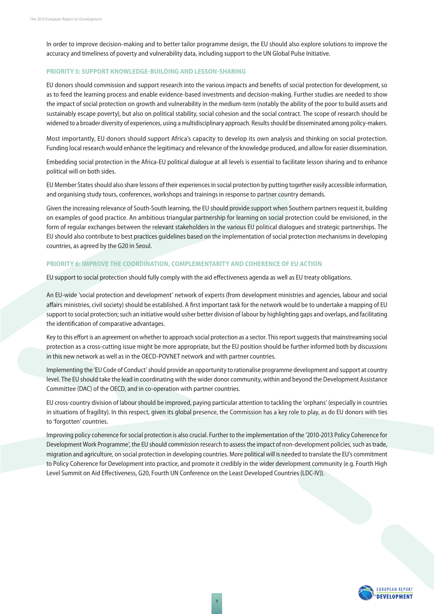In order to improve decision-making and to better tailor programme design, the EU should also explore solutions to improve the accuracy and timeliness of poverty and vulnerability data, including support to the UN Global Pulse Initiative.

#### **PRIORITY 5: SUPPORT KNOWLEDGE-BUILDING AND LESSON-SHARING**

EU donors should commission and support research into the various impacts and benefits of social protection for development, so as to feed the learning process and enable evidence-based investments and decision-making. Further studies are needed to show the impact of social protection on growth and vulnerability in the medium-term (notably the ability of the poor to build assets and sustainably escape poverty), but also on political stability, social cohesion and the social contract. The scope of research should be widened to a broader diversity of experiences, using a multidisciplinary approach. Results should be disseminated among policy-makers.

Most importantly, EU donors should support Africa's capacity to develop its own analysis and thinking on social protection. Funding local research would enhance the legitimacy and relevance of the knowledge produced, and allow for easier dissemination.

Embedding social protection in the Africa-EU political dialogue at all levels is essential to facilitate lesson sharing and to enhance political will on both sides.

EU Member States should also share lessons of their experiences in social protection by putting together easily accessible information, and organising study tours, conferences, workshops and trainings in response to partner country demands.

Given the increasing relevance of South-South learning, the EU should provide support when Southern partners request it, building on examples of good practice. An ambitious triangular partnership for learning on social protection could be envisioned, in the form of regular exchanges between the relevant stakeholders in the various EU political dialogues and strategic partnerships. The EU should also contribute to best practices guidelines based on the implementation of social protection mechanisms in developing countries, as agreed by the G20 in Seoul.

#### **PRIORITY 6: IMPROVE THE COORDINATION, COMPLEMENTARITY AND COHERENCE OF EU ACTION**

EU support to social protection should fully comply with the aid effectiveness agenda as well as EU treaty obligations.

An EU-wide 'social protection and development' network of experts (from development ministries and agencies, labour and social affairs ministries, civil society) should be established. A first important task for the network would be to undertake a mapping of EU support to social protection; such an initiative would usher better division of labour by highlighting gaps and overlaps, and facilitating the identification of comparative advantages.

Key to this effort is an agreement on whether to approach social protection as a sector. This report suggests that mainstreaming social protection as a cross-cutting issue might be more appropriate, but the EU position should be further informed both by discussions in this new network as well as in the OECD-POVNET network and with partner countries.

Implementing the 'EU Code of Conduct' should provide an opportunity to rationalise programme development and support at country level. The EU should take the lead in coordinating with the wider donor community, within and beyond the Development Assistance Committee (DAC) of the OECD, and in co-operation with partner countries.

EU cross-country division of labour should be improved, paying particular attention to tackling the 'orphans' (especially in countries in situations of fragility). In this respect, given its global presence, the Commission has a key role to play, as do EU donors with ties to 'forgotten' countries.

Improving policy coherence for social protection is also crucial. Further to the implementation of the '2010-2013 Policy Coherence for Development Work Programme', the EU should commission research to assess the impact of non-development policies, such as trade, migration and agriculture, on social protection in developing countries. More political will is needed to translate the EU's commitment to Policy Coherence for Development into practice, and promote it credibly in the wider development community (e.g. Fourth High Level Summit on Aid Effectiveness, G20, Fourth UN Conference on the Least Developed Countries (LDC-IV)).

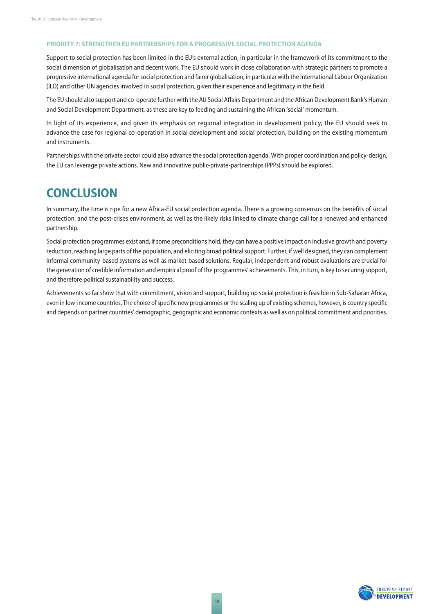#### **PRIORITY 7: STRENGTHEN EU PARTNERSHIPS FOR A PROGRESSIVE SOCIAL PROTECTION AGENDA**

Support to social protection has been limited in the EU's external action, in particular in the framework of its commitment to the social dimension of globalisation and decent work. The EU should work in close collaboration with strategic partners to promote a progressive international agenda for social protection and fairer globalisation, in particular with the International Labour Organization (ILO) and other UN agencies involved in social protection, given their experience and legitimacy in the field.

The EU should also support and co-operate further with the AU Social Affairs Department and the African Development Bank's Human and Social Development Department, as these are key to feeding and sustaining the African 'social' momentum.

In light of its experience, and given its emphasis on regional integration in development policy, the EU should seek to advance the case for regional co-operation in social development and social protection, building on the existing momentum and instruments.

Partnerships with the private sector could also advance the social protection agenda. With proper coordination and policy-design, the EU can leverage private actions. New and innovative public-private-partnerships (PPPs) should be explored.

### **CONCLUSION**

In summary, the time is ripe for a new Africa-EU social protection agenda. There is a growing consensus on the benefits of social protection, and the post-crises environment, as well as the likely risks linked to climate change call for a renewed and enhanced partnership.

Social protection programmes exist and, if some preconditions hold, they can have a positive impact on inclusive growth and poverty reduction, reaching large parts of the population, and eliciting broad political support. Further, if well designed, they can complement informal community-based systems as well as market-based solutions. Regular, independent and robust evaluations are crucial for the generation of credible information and empirical proof of the programmes' achievements. This, in turn, is key to securing support, and therefore political sustainability and success.

Achievements so far show that with commitment, vision and support, building up social protection is feasible in Sub-Saharan Africa, even in low-income countries. The choice of specific new programmes or the scaling up of existing schemes, however, is country specific and depends on partner countries' demographic, geographic and economic contexts as well as on political commitment and priorities.